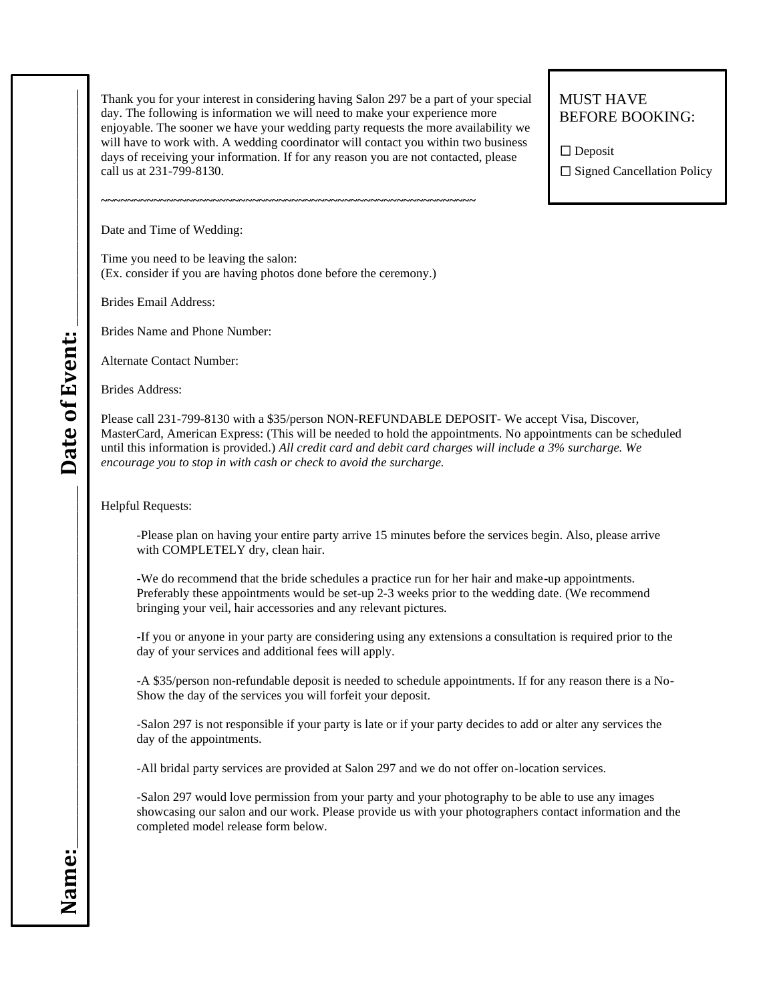Thank you for your interest in considering having Salon 297 be a part of your special day. The following is information we will need to make your experience more enjoyable. The sooner we have your wedding party requests the more availability we will have to work with. A wedding coordinator will contact you within two business days of receiving your information. If for any reason you are not contacted, please call us at 231-799-8130.

## MUST HAVE BEFORE BOOKING:

 $\Box$  Deposit

 $\square$  Signed Cancellation Policy

Date and Time of Wedding:

Time you need to be leaving the salon: (Ex. consider if you are having photos done before the ceremony.)

**~~~~~~~~~~~~~~~~~~~~~~~~~~~~~~~~~~~~~~~~~~~~~~~~~~~~~~~~~**

Brides Email Address:

Brides Name and Phone Number:

Alternate Contact Number:

Brides Address:

Please call 231-799-8130 with a \$35/person NON-REFUNDABLE DEPOSIT- We accept Visa, Discover, MasterCard, American Express: (This will be needed to hold the appointments. No appointments can be scheduled until this information is provided.) *All credit card and debit card charges will include a 3% surcharge. We encourage you to stop in with cash or check to avoid the surcharge.*

Helpful Requests:

-Please plan on having your entire party arrive 15 minutes before the services begin. Also, please arrive with COMPLETELY dry, clean hair.

-We do recommend that the bride schedules a practice run for her hair and make-up appointments. Preferably these appointments would be set-up 2-3 weeks prior to the wedding date. (We recommend bringing your veil, hair accessories and any relevant pictures.

-If you or anyone in your party are considering using any extensions a consultation is required prior to the day of your services and additional fees will apply.

-A \$35/person non-refundable deposit is needed to schedule appointments. If for any reason there is a No-Show the day of the services you will forfeit your deposit.

-Salon 297 is not responsible if your party is late or if your party decides to add or alter any services the day of the appointments.

-All bridal party services are provided at Salon 297 and we do not offer on-location services.

-Salon 297 would love permission from your party and your photography to be able to use any images showcasing our salon and our work. Please provide us with your photographers contact information and the completed model release form below.

**Name:**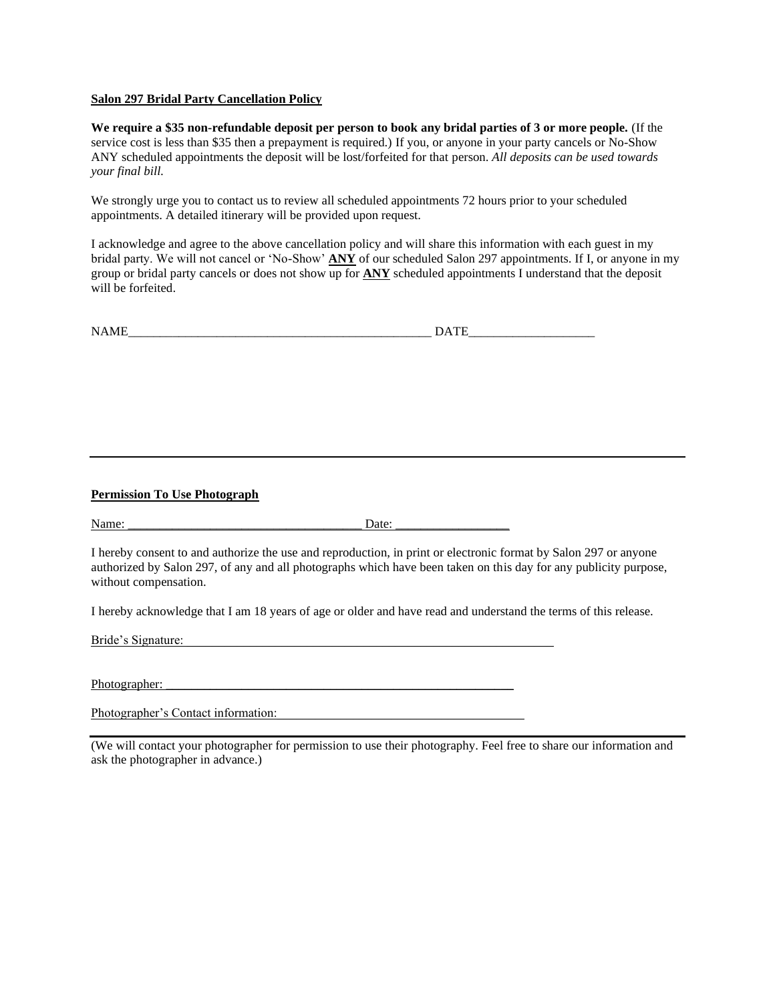## **Salon 297 Bridal Party Cancellation Policy**

**We require a \$35 non-refundable deposit per person to book any bridal parties of 3 or more people.** (If the service cost is less than \$35 then a prepayment is required.) If you, or anyone in your party cancels or No-Show ANY scheduled appointments the deposit will be lost/forfeited for that person. *All deposits can be used towards your final bill.*

We strongly urge you to contact us to review all scheduled appointments 72 hours prior to your scheduled appointments. A detailed itinerary will be provided upon request.

I acknowledge and agree to the above cancellation policy and will share this information with each guest in my bridal party. We will not cancel or 'No-Show' **ANY** of our scheduled Salon 297 appointments. If I, or anyone in my group or bridal party cancels or does not show up for **ANY** scheduled appointments I understand that the deposit will be forfeited.

| <b>NAMF</b><br><b>IVAIVIE</b> | <b>TIME</b>          |
|-------------------------------|----------------------|
| _____<br>_________<br>__      | ______<br>__________ |

## **Permission To Use Photograph**

Name: \_\_\_\_\_\_\_\_\_\_\_\_\_\_\_\_\_\_\_\_\_\_\_\_\_\_\_\_\_\_\_\_\_\_\_\_\_ Date: \_\_\_\_\_\_\_\_\_\_\_\_\_\_\_\_\_\_

I hereby consent to and authorize the use and reproduction, in print or electronic format by Salon 297 or anyone authorized by Salon 297, of any and all photographs which have been taken on this day for any publicity purpose, without compensation.

I hereby acknowledge that I am 18 years of age or older and have read and understand the terms of this release.

Bride's Signature:

Photographer:

Photographer's Contact information:

(We will contact your photographer for permission to use their photography. Feel free to share our information and ask the photographer in advance.)